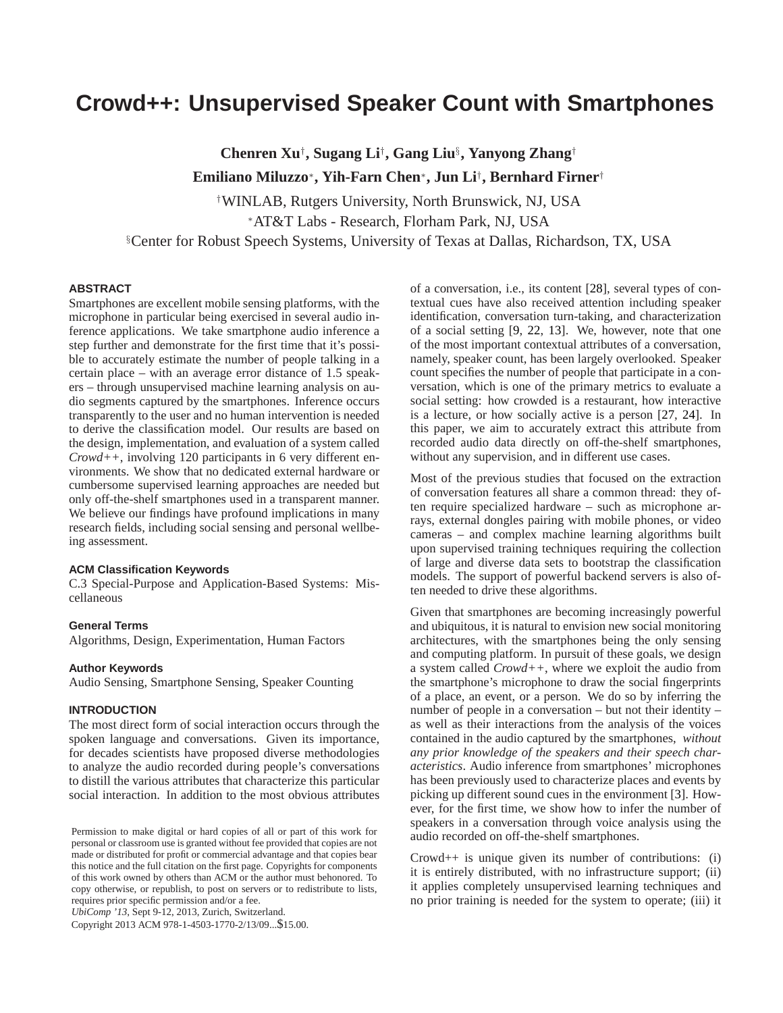# **Crowd++: Unsupervised Speaker Count with Smartphones**

**Chenren Xu**† **, Sugang Li**† **, Gang Liu**§ **, Yanyong Zhang**† **Emiliano Miluzzo**<sup>∗</sup> **, Yih-Farn Chen**<sup>∗</sup> **, Jun Li**† **, Bernhard Firner**†

†WINLAB, Rutgers University, North Brunswick, NJ, USA <sup>∗</sup>AT&T Labs - Research, Florham Park, NJ, USA §Center for Robust Speech Systems, University of Texas at Dallas, Richardson, TX, USA

# **ABSTRACT**

Smartphones are excellent mobile sensing platforms, with the microphone in particular being exercised in several audio inference applications. We take smartphone audio inference a step further and demonstrate for the first time that it's possible to accurately estimate the number of people talking in a certain place – with an average error distance of 1.5 speakers – through unsupervised machine learning analysis on audio segments captured by the smartphones. Inference occurs transparently to the user and no human intervention is needed to derive the classification model. Our results are based on the design, implementation, and evaluation of a system called *Crowd++*, involving 120 participants in 6 very different environments. We show that no dedicated external hardware or cumbersome supervised learning approaches are needed but only off-the-shelf smartphones used in a transparent manner. We believe our findings have profound implications in many research fields, including social sensing and personal wellbeing assessment.

## **ACM Classification Keywords**

C.3 Special-Purpose and Application-Based Systems: Miscellaneous

# **General Terms**

Algorithms, Design, Experimentation, Human Factors

## **Author Keywords**

Audio Sensing, Smartphone Sensing, Speaker Counting

# **INTRODUCTION**

The most direct form of social interaction occurs through the spoken language and conversations. Given its importance, for decades scientists have proposed diverse methodologies to analyze the audio recorded during people's conversations to distill the various attributes that characterize this particular social interaction. In addition to the most obvious attributes

*UbiComp '13*, Sept 9-12, 2013, Zurich, Switzerland.

Copyright 2013 ACM 978-1-4503-1770-2/13/09...\$15.00.

of a conversation, i.e., its content [\[28\]](#page-9-0), several types of contextual cues have also received attention including speaker identification, conversation turn-taking, and characterization of a social setting [\[9,](#page-9-1) [22,](#page-9-2) [13\]](#page-9-3). We, however, note that one of the most important contextual attributes of a conversation, namely, speaker count, has been largely overlooked. Speaker count specifies the number of people that participate in a conversation, which is one of the primary metrics to evaluate a social setting: how crowded is a restaurant, how interactive is a lecture, or how socially active is a person [\[27,](#page-9-4) [24\]](#page-9-5). In this paper, we aim to accurately extract this attribute from recorded audio data directly on off-the-shelf smartphones, without any supervision, and in different use cases.

Most of the previous studies that focused on the extraction of conversation features all share a common thread: they often require specialized hardware – such as microphone arrays, external dongles pairing with mobile phones, or video cameras – and complex machine learning algorithms built upon supervised training techniques requiring the collection of large and diverse data sets to bootstrap the classification models. The support of powerful backend servers is also often needed to drive these algorithms.

Given that smartphones are becoming increasingly powerful and ubiquitous, it is natural to envision new social monitoring architectures, with the smartphones being the only sensing and computing platform. In pursuit of these goals, we design a system called *Crowd++*, where we exploit the audio from the smartphone's microphone to draw the social fingerprints of a place, an event, or a person. We do so by inferring the number of people in a conversation – but not their identity – as well as their interactions from the analysis of the voices contained in the audio captured by the smartphones, *without any prior knowledge of the speakers and their speech characteristics*. Audio inference from smartphones' microphones has been previously used to characterize places and events by picking up different sound cues in the environment [\[3\]](#page-9-6). However, for the first time, we show how to infer the number of speakers in a conversation through voice analysis using the audio recorded on off-the-shelf smartphones.

Crowd++ is unique given its number of contributions: (i) it is entirely distributed, with no infrastructure support; (ii) it applies completely unsupervised learning techniques and no prior training is needed for the system to operate; (iii) it

Permission to make digital or hard copies of all or part of this work for personal or classroom use is granted without fee provided that copies are not made or distributed for profit or commercial advantage and that copies bear this notice and the full citation on the first page. Copyrights for components of this work owned by others than ACM or the author must behonored. To copy otherwise, or republish, to post on servers or to redistribute to lists, requires prior specific permission and/or a fee.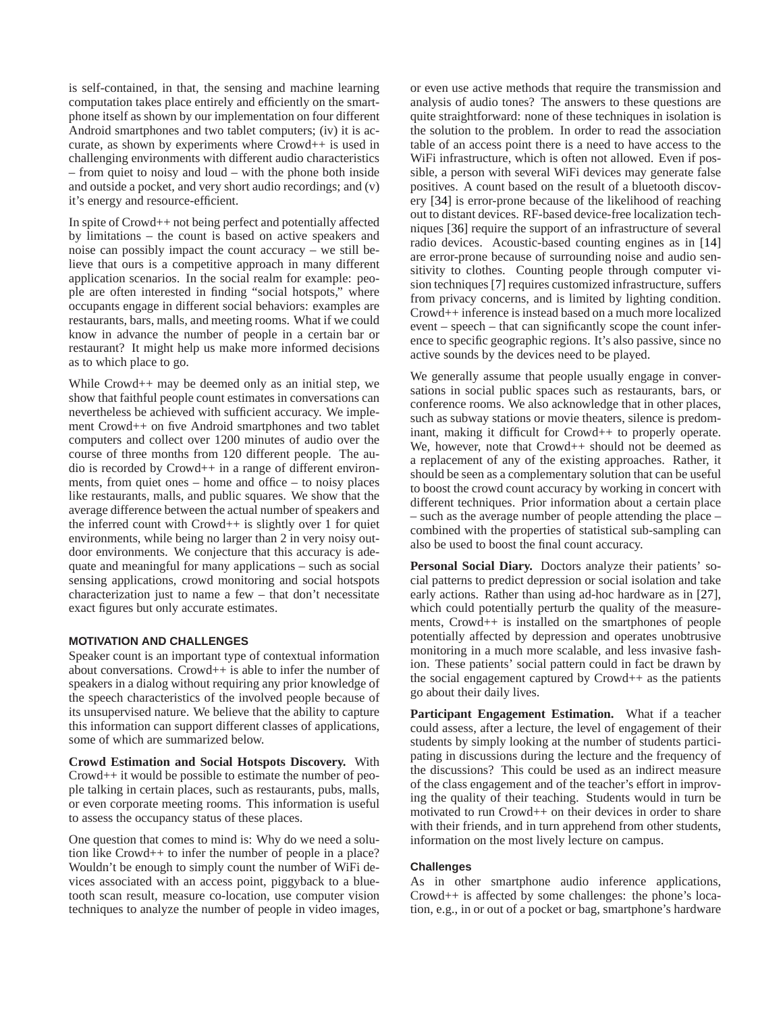is self-contained, in that, the sensing and machine learning computation takes place entirely and efficiently on the smartphone itself as shown by our implementation on four different Android smartphones and two tablet computers; (iv) it is accurate, as shown by experiments where Crowd++ is used in challenging environments with different audio characteristics – from quiet to noisy and loud – with the phone both inside and outside a pocket, and very short audio recordings; and (v) it's energy and resource-efficient.

In spite of Crowd++ not being perfect and potentially affected by limitations – the count is based on active speakers and noise can possibly impact the count accuracy – we still believe that ours is a competitive approach in many different application scenarios. In the social realm for example: people are often interested in finding "social hotspots," where occupants engage in different social behaviors: examples are restaurants, bars, malls, and meeting rooms. What if we could know in advance the number of people in a certain bar or restaurant? It might help us make more informed decisions as to which place to go.

While Crowd<sup>++</sup> may be deemed only as an initial step, we show that faithful people count estimates in conversations can nevertheless be achieved with sufficient accuracy. We implement Crowd++ on five Android smartphones and two tablet computers and collect over 1200 minutes of audio over the course of three months from 120 different people. The audio is recorded by Crowd++ in a range of different environments, from quiet ones – home and office – to noisy places like restaurants, malls, and public squares. We show that the average difference between the actual number of speakers and the inferred count with Crowd++ is slightly over 1 for quiet environments, while being no larger than 2 in very noisy outdoor environments. We conjecture that this accuracy is adequate and meaningful for many applications – such as social sensing applications, crowd monitoring and social hotspots characterization just to name a few – that don't necessitate exact figures but only accurate estimates.

# **MOTIVATION AND CHALLENGES**

Speaker count is an important type of contextual information about conversations. Crowd++ is able to infer the number of speakers in a dialog without requiring any prior knowledge of the speech characteristics of the involved people because of its unsupervised nature. We believe that the ability to capture this information can support different classes of applications, some of which are summarized below.

**Crowd Estimation and Social Hotspots Discovery.** With Crowd++ it would be possible to estimate the number of people talking in certain places, such as restaurants, pubs, malls, or even corporate meeting rooms. This information is useful to assess the occupancy status of these places.

One question that comes to mind is: Why do we need a solution like Crowd++ to infer the number of people in a place? Wouldn't be enough to simply count the number of WiFi devices associated with an access point, piggyback to a bluetooth scan result, measure co-location, use computer vision techniques to analyze the number of people in video images,

or even use active methods that require the transmission and analysis of audio tones? The answers to these questions are quite straightforward: none of these techniques in isolation is the solution to the problem. In order to read the association table of an access point there is a need to have access to the WiFi infrastructure, which is often not allowed. Even if possible, a person with several WiFi devices may generate false positives. A count based on the result of a bluetooth discovery [\[34\]](#page-9-7) is error-prone because of the likelihood of reaching out to distant devices. RF-based device-free localization techniques [\[36\]](#page-9-8) require the support of an infrastructure of several radio devices. Acoustic-based counting engines as in [\[14\]](#page-9-9) are error-prone because of surrounding noise and audio sensitivity to clothes. Counting people through computer vision techniques [\[7\]](#page-9-10) requires customized infrastructure, suffers from privacy concerns, and is limited by lighting condition. Crowd++ inference is instead based on a much more localized event – speech – that can significantly scope the count inference to specific geographic regions. It's also passive, since no active sounds by the devices need to be played.

We generally assume that people usually engage in conversations in social public spaces such as restaurants, bars, or conference rooms. We also acknowledge that in other places, such as subway stations or movie theaters, silence is predominant, making it difficult for Crowd++ to properly operate. We, however, note that Crowd++ should not be deemed as a replacement of any of the existing approaches. Rather, it should be seen as a complementary solution that can be useful to boost the crowd count accuracy by working in concert with different techniques. Prior information about a certain place – such as the average number of people attending the place – combined with the properties of statistical sub-sampling can also be used to boost the final count accuracy.

**Personal Social Diary.** Doctors analyze their patients' social patterns to predict depression or social isolation and take early actions. Rather than using ad-hoc hardware as in [\[27\]](#page-9-4), which could potentially perturb the quality of the measurements, Crowd++ is installed on the smartphones of people potentially affected by depression and operates unobtrusive monitoring in a much more scalable, and less invasive fashion. These patients' social pattern could in fact be drawn by the social engagement captured by Crowd++ as the patients go about their daily lives.

**Participant Engagement Estimation.** What if a teacher could assess, after a lecture, the level of engagement of their students by simply looking at the number of students participating in discussions during the lecture and the frequency of the discussions? This could be used as an indirect measure of the class engagement and of the teacher's effort in improving the quality of their teaching. Students would in turn be motivated to run Crowd++ on their devices in order to share with their friends, and in turn apprehend from other students, information on the most lively lecture on campus.

# **Challenges**

As in other smartphone audio inference applications, Crowd++ is affected by some challenges: the phone's location, e.g., in or out of a pocket or bag, smartphone's hardware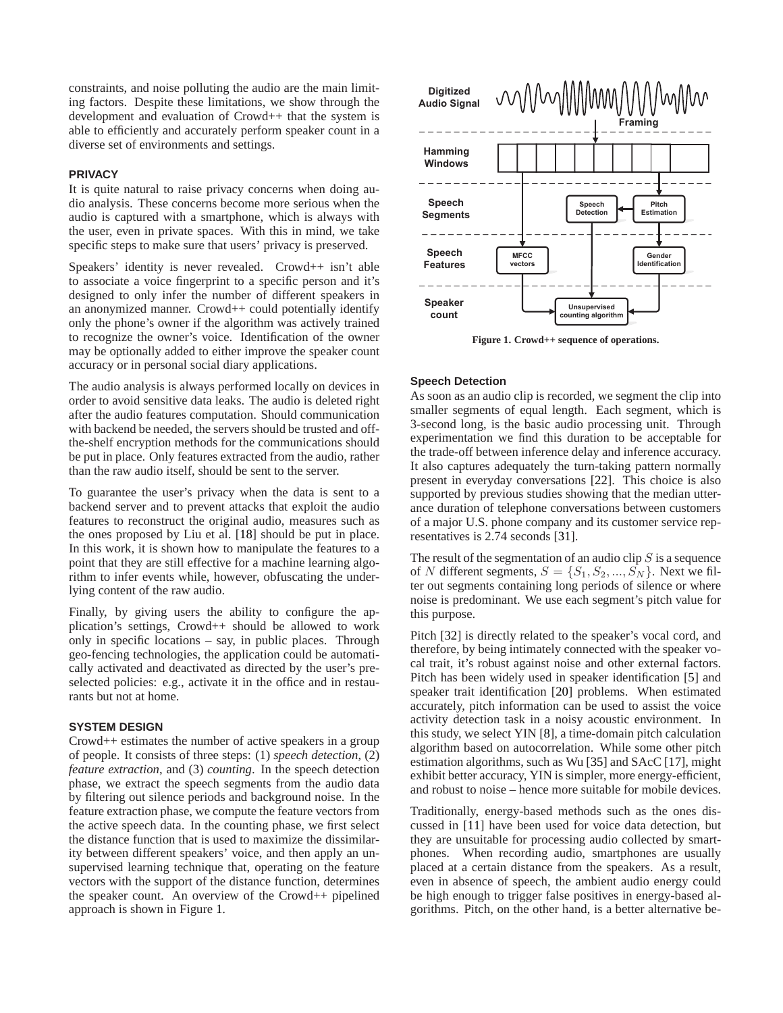constraints, and noise polluting the audio are the main limiting factors. Despite these limitations, we show through the development and evaluation of Crowd++ that the system is able to efficiently and accurately perform speaker count in a diverse set of environments and settings.

## **PRIVACY**

It is quite natural to raise privacy concerns when doing audio analysis. These concerns become more serious when the audio is captured with a smartphone, which is always with the user, even in private spaces. With this in mind, we take specific steps to make sure that users' privacy is preserved.

Speakers' identity is never revealed. Crowd++ isn't able to associate a voice fingerprint to a specific person and it's designed to only infer the number of different speakers in an anonymized manner. Crowd++ could potentially identify only the phone's owner if the algorithm was actively trained to recognize the owner's voice. Identification of the owner may be optionally added to either improve the speaker count accuracy or in personal social diary applications.

The audio analysis is always performed locally on devices in order to avoid sensitive data leaks. The audio is deleted right after the audio features computation. Should communication with backend be needed, the servers should be trusted and offthe-shelf encryption methods for the communications should be put in place. Only features extracted from the audio, rather than the raw audio itself, should be sent to the server.

To guarantee the user's privacy when the data is sent to a backend server and to prevent attacks that exploit the audio features to reconstruct the original audio, measures such as the ones proposed by Liu et al. [\[18\]](#page-9-11) should be put in place. In this work, it is shown how to manipulate the features to a point that they are still effective for a machine learning algorithm to infer events while, however, obfuscating the underlying content of the raw audio.

Finally, by giving users the ability to configure the application's settings, Crowd++ should be allowed to work only in specific locations – say, in public places. Through geo-fencing technologies, the application could be automatically activated and deactivated as directed by the user's preselected policies: e.g., activate it in the office and in restaurants but not at home.

## **SYSTEM DESIGN**

Crowd++ estimates the number of active speakers in a group of people. It consists of three steps: (1) *speech detection*, (2) *feature extraction*, and (3) *counting*. In the speech detection phase, we extract the speech segments from the audio data by filtering out silence periods and background noise. In the feature extraction phase, we compute the feature vectors from the active speech data. In the counting phase, we first select the distance function that is used to maximize the dissimilarity between different speakers' voice, and then apply an unsupervised learning technique that, operating on the feature vectors with the support of the distance function, determines the speaker count. An overview of the Crowd++ pipelined approach is shown in Figure [1.](#page-2-0)



<span id="page-2-0"></span>**Figure 1. Crowd++ sequence of operations.**

## **Speech Detection**

As soon as an audio clip is recorded, we segment the clip into smaller segments of equal length. Each segment, which is 3-second long, is the basic audio processing unit. Through experimentation we find this duration to be acceptable for the trade-off between inference delay and inference accuracy. It also captures adequately the turn-taking pattern normally present in everyday conversations [\[22\]](#page-9-2). This choice is also supported by previous studies showing that the median utterance duration of telephone conversations between customers of a major U.S. phone company and its customer service representatives is 2.74 seconds [\[31\]](#page-9-12).

The result of the segmentation of an audio clip  $S$  is a sequence of N different segments,  $S = \{S_1, S_2, ..., S_N\}$ . Next we filter out segments containing long periods of silence or where noise is predominant. We use each segment's pitch value for this purpose.

Pitch [\[32\]](#page-9-13) is directly related to the speaker's vocal cord, and therefore, by being intimately connected with the speaker vocal trait, it's robust against noise and other external factors. Pitch has been widely used in speaker identification [\[5\]](#page-9-14) and speaker trait identification [\[20\]](#page-9-15) problems. When estimated accurately, pitch information can be used to assist the voice activity detection task in a noisy acoustic environment. In this study, we select YIN [\[8\]](#page-9-16), a time-domain pitch calculation algorithm based on autocorrelation. While some other pitch estimation algorithms, such as Wu [\[35\]](#page-9-17) and SAcC [\[17\]](#page-9-18), might exhibit better accuracy, YIN is simpler, more energy-efficient, and robust to noise – hence more suitable for mobile devices.

Traditionally, energy-based methods such as the ones discussed in [\[11\]](#page-9-19) have been used for voice data detection, but they are unsuitable for processing audio collected by smartphones. When recording audio, smartphones are usually placed at a certain distance from the speakers. As a result, even in absence of speech, the ambient audio energy could be high enough to trigger false positives in energy-based algorithms. Pitch, on the other hand, is a better alternative be-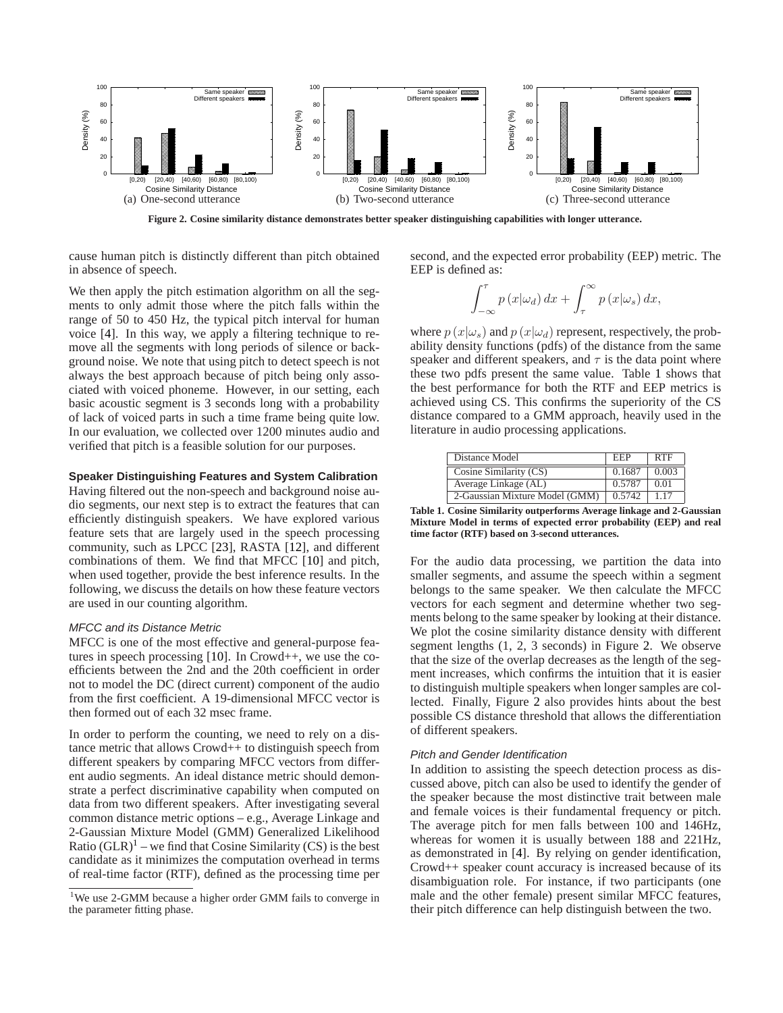

<span id="page-3-2"></span>**Figure 2. Cosine similarity distance demonstrates better speaker distinguishing capabilities with longer utterance.**

cause human pitch is distinctly different than pitch obtained in absence of speech.

second, and the expected error probability (EEP) metric. The EEP is defined as:

We then apply the pitch estimation algorithm on all the segments to only admit those where the pitch falls within the range of 50 to 450 Hz, the typical pitch interval for human voice [\[4\]](#page-9-20). In this way, we apply a filtering technique to remove all the segments with long periods of silence or background noise. We note that using pitch to detect speech is not always the best approach because of pitch being only associated with voiced phoneme. However, in our setting, each basic acoustic segment is 3 seconds long with a probability of lack of voiced parts in such a time frame being quite low. In our evaluation, we collected over 1200 minutes audio and verified that pitch is a feasible solution for our purposes.

## **Speaker Distinguishing Features and System Calibration**

Having filtered out the non-speech and background noise audio segments, our next step is to extract the features that can efficiently distinguish speakers. We have explored various feature sets that are largely used in the speech processing community, such as LPCC [\[23\]](#page-9-21), RASTA [\[12\]](#page-9-22), and different combinations of them. We find that MFCC [\[10\]](#page-9-23) and pitch, when used together, provide the best inference results. In the following, we discuss the details on how these feature vectors are used in our counting algorithm.

#### MFCC and its Distance Metric

MFCC is one of the most effective and general-purpose features in speech processing [\[10\]](#page-9-23). In Crowd++, we use the coefficients between the 2nd and the 20th coefficient in order not to model the DC (direct current) component of the audio from the first coefficient. A 19-dimensional MFCC vector is then formed out of each 32 msec frame.

In order to perform the counting, we need to rely on a distance metric that allows Crowd++ to distinguish speech from different speakers by comparing MFCC vectors from different audio segments. An ideal distance metric should demonstrate a perfect discriminative capability when computed on data from two different speakers. After investigating several common distance metric options – e.g., Average Linkage and 2-Gaussian Mixture Model (GMM) Generalized Likelihood Ratio  $(GLR)^1$  $(GLR)^1$  – we find that Cosine Similarity (CS) is the best candidate as it minimizes the computation overhead in terms of real-time factor (RTF), defined as the processing time per

 $\int_0^{\tau}$  $\int_{-\infty}^{\tau} p(x|\omega_d) dx + \int_{\tau}^{\infty}$  $\int_{\tau} p(x|\omega_s) dx,$ 

where  $p(x|\omega_s)$  and  $p(x|\omega_d)$  represent, respectively, the probability density functions (pdfs) of the distance from the same speaker and different speakers, and  $\tau$  is the data point where these two pdfs present the same value. Table [1](#page-3-1) shows that the best performance for both the RTF and EEP metrics is achieved using CS. This confirms the superiority of the CS distance compared to a GMM approach, heavily used in the literature in audio processing applications.

| Distance Model                 | EEP    | <b>RTF</b> |
|--------------------------------|--------|------------|
| Cosine Similarity (CS)         | 0.1687 | 0.003      |
| Average Linkage (AL)           | 0.5787 | 0.01       |
| 2-Gaussian Mixture Model (GMM) | 0.5742 | 1.17       |

<span id="page-3-1"></span>**Table 1. Cosine Similarity outperforms Average linkage and 2-Gaussian Mixture Model in terms of expected error probability (EEP) and real time factor (RTF) based on 3-second utterances.**

For the audio data processing, we partition the data into smaller segments, and assume the speech within a segment belongs to the same speaker. We then calculate the MFCC vectors for each segment and determine whether two segments belong to the same speaker by looking at their distance. We plot the cosine similarity distance density with different segment lengths (1, 2, 3 seconds) in Figure [2.](#page-3-2) We observe that the size of the overlap decreases as the length of the segment increases, which confirms the intuition that it is easier to distinguish multiple speakers when longer samples are collected. Finally, Figure [2](#page-3-2) also provides hints about the best possible CS distance threshold that allows the differentiation of different speakers.

#### Pitch and Gender Identification

In addition to assisting the speech detection process as discussed above, pitch can also be used to identify the gender of the speaker because the most distinctive trait between male and female voices is their fundamental frequency or pitch. The average pitch for men falls between 100 and 146Hz, whereas for women it is usually between 188 and 221Hz, as demonstrated in [\[4\]](#page-9-20). By relying on gender identification, Crowd++ speaker count accuracy is increased because of its disambiguation role. For instance, if two participants (one male and the other female) present similar MFCC features, their pitch difference can help distinguish between the two.

<span id="page-3-0"></span><sup>&</sup>lt;sup>1</sup>We use 2-GMM because a higher order GMM fails to converge in the parameter fitting phase.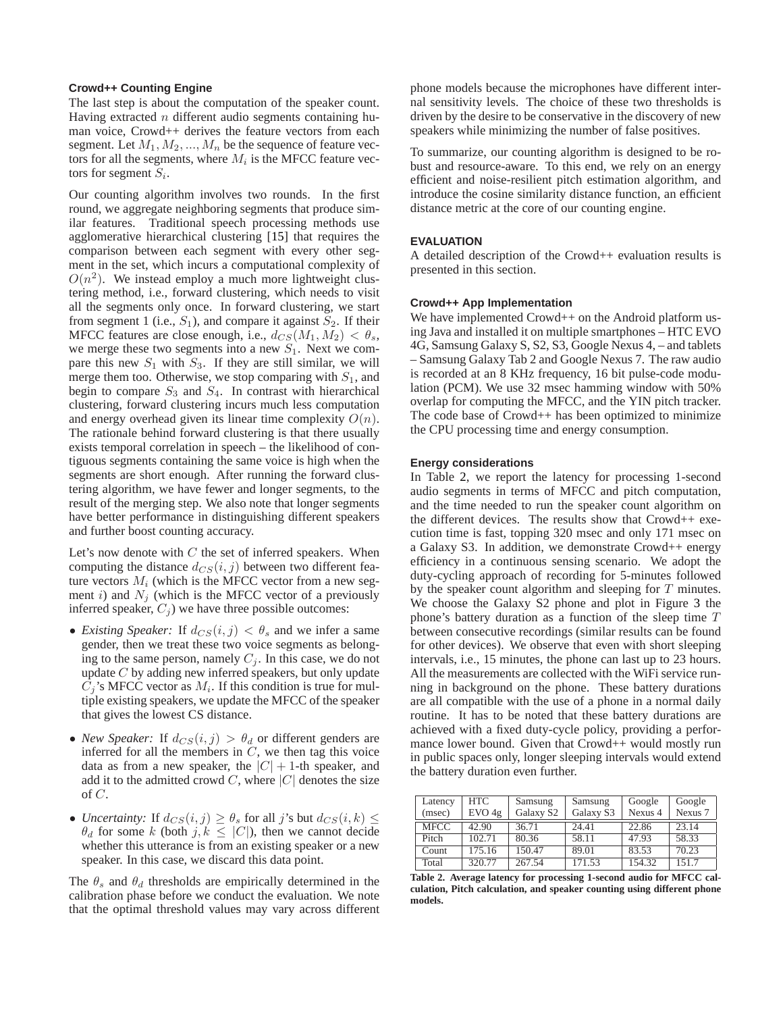#### **Crowd++ Counting Engine**

The last step is about the computation of the speaker count. Having extracted  $n$  different audio segments containing human voice, Crowd++ derives the feature vectors from each segment. Let  $M_1, M_2, ..., M_n$  be the sequence of feature vectors for all the segments, where  $M_i$  is the MFCC feature vectors for segment  $S_i$ .

Our counting algorithm involves two rounds. In the first round, we aggregate neighboring segments that produce similar features. Traditional speech processing methods use agglomerative hierarchical clustering [\[15\]](#page-9-24) that requires the comparison between each segment with every other segment in the set, which incurs a computational complexity of  $O(n^2)$ . We instead employ a much more lightweight clustering method, i.e., forward clustering, which needs to visit all the segments only once. In forward clustering, we start from segment 1 (i.e.,  $S_1$ ), and compare it against  $S_2$ . If their MFCC features are close enough, i.e.,  $d_{CS}(M_1, M_2) < \theta_s$ , we merge these two segments into a new  $S_1$ . Next we compare this new  $S_1$  with  $S_3$ . If they are still similar, we will merge them too. Otherwise, we stop comparing with  $S_1$ , and begin to compare  $S_3$  and  $S_4$ . In contrast with hierarchical clustering, forward clustering incurs much less computation and energy overhead given its linear time complexity  $O(n)$ . The rationale behind forward clustering is that there usually exists temporal correlation in speech – the likelihood of contiguous segments containing the same voice is high when the segments are short enough. After running the forward clustering algorithm, we have fewer and longer segments, to the result of the merging step. We also note that longer segments have better performance in distinguishing different speakers and further boost counting accuracy.

Let's now denote with  $C$  the set of inferred speakers. When computing the distance  $d_{CS}(i, j)$  between two different feature vectors  $M_i$  (which is the MFCC vector from a new segment i) and  $N_i$  (which is the MFCC vector of a previously inferred speaker,  $C_j$ ) we have three possible outcomes:

- *Existing Speaker:* If  $d_{CS}(i, j) < \theta_s$  and we infer a same gender, then we treat these two voice segments as belonging to the same person, namely  $C_j$ . In this case, we do not update C by adding new inferred speakers, but only update  $C_j$ 's MFCC vector as  $M_i$ . If this condition is true for multiple existing speakers, we update the MFCC of the speaker that gives the lowest CS distance.
- *New Speaker:* If  $d_{CS}(i, j) > \theta_d$  or different genders are inferred for all the members in  $C$ , we then tag this voice data as from a new speaker, the  $|C| + 1$ -th speaker, and add it to the admitted crowd  $C$ , where  $|C|$  denotes the size of C.
- *Uncertainty:* If  $d_{CS}(i, j) \geq \theta_s$  for all j's but  $d_{CS}(i, k) \leq$  $\theta_d$  for some k (both j,  $k \leq |C|$ ), then we cannot decide whether this utterance is from an existing speaker or a new speaker. In this case, we discard this data point.

The  $\theta_s$  and  $\theta_d$  thresholds are empirically determined in the calibration phase before we conduct the evaluation. We note that the optimal threshold values may vary across different phone models because the microphones have different internal sensitivity levels. The choice of these two thresholds is driven by the desire to be conservative in the discovery of new speakers while minimizing the number of false positives.

To summarize, our counting algorithm is designed to be robust and resource-aware. To this end, we rely on an energy efficient and noise-resilient pitch estimation algorithm, and introduce the cosine similarity distance function, an efficient distance metric at the core of our counting engine.

#### **EVALUATION**

A detailed description of the Crowd++ evaluation results is presented in this section.

## **Crowd++ App Implementation**

We have implemented Crowd<sup>++</sup> on the Android platform using Java and installed it on multiple smartphones – HTC EVO 4G, Samsung Galaxy S, S2, S3, Google Nexus 4, – and tablets – Samsung Galaxy Tab 2 and Google Nexus 7. The raw audio is recorded at an 8 KHz frequency, 16 bit pulse-code modulation (PCM). We use 32 msec hamming window with 50% overlap for computing the MFCC, and the YIN pitch tracker. The code base of Crowd++ has been optimized to minimize the CPU processing time and energy consumption.

## **Energy considerations**

In Table [2,](#page-4-0) we report the latency for processing 1-second audio segments in terms of MFCC and pitch computation, and the time needed to run the speaker count algorithm on the different devices. The results show that Crowd++ execution time is fast, topping 320 msec and only 171 msec on a Galaxy S3. In addition, we demonstrate Crowd++ energy efficiency in a continuous sensing scenario. We adopt the duty-cycling approach of recording for 5-minutes followed by the speaker count algorithm and sleeping for T minutes. We choose the Galaxy S2 phone and plot in Figure [3](#page-5-0) the phone's battery duration as a function of the sleep time T between consecutive recordings (similar results can be found for other devices). We observe that even with short sleeping intervals, i.e., 15 minutes, the phone can last up to 23 hours. All the measurements are collected with the WiFi service running in background on the phone. These battery durations are all compatible with the use of a phone in a normal daily routine. It has to be noted that these battery durations are achieved with a fixed duty-cycle policy, providing a performance lower bound. Given that Crowd++ would mostly run in public spaces only, longer sleeping intervals would extend the battery duration even further.

| Latency<br>(msec) | HTC.<br>EVO 4g | Samsung<br>Galaxy S2 | Samsung<br>Galaxy S3 | Google<br>Nexus 4 | Google<br>Nexus 7 |
|-------------------|----------------|----------------------|----------------------|-------------------|-------------------|
| <b>MFCC</b>       | 42.90          | 36.71                | 24.41                | 22.86             | 23.14             |
| Pitch             | 102.71         | 80.36                | 58.11                | 47.93             | 58.33             |
| Count             | 175.16         | 150.47               | 89.01                | 83.53             | 70.23             |
| Total             | 320.77         | 267.54               | 171.53               | 154.32            | 151.7             |

<span id="page-4-0"></span>**Table 2. Average latency for processing 1-second audio for MFCC calculation, Pitch calculation, and speaker counting using different phone models.**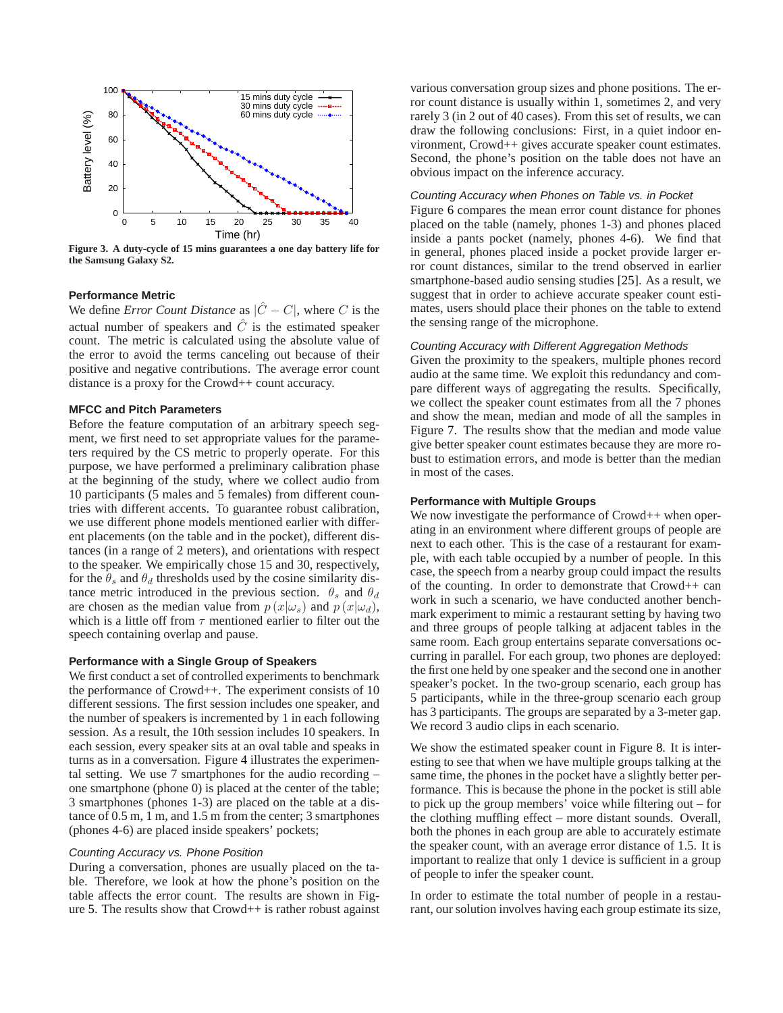

<span id="page-5-0"></span>**Figure 3. A duty-cycle of 15 mins guarantees a one day battery life for the Samsung Galaxy S2.**

## **Performance Metric**

We define *Error Count Distance* as  $|\hat{C} - C|$ , where C is the actual number of speakers and  $\hat{C}$  is the estimated speaker count. The metric is calculated using the absolute value of the error to avoid the terms canceling out because of their positive and negative contributions. The average error count distance is a proxy for the Crowd++ count accuracy.

## **MFCC and Pitch Parameters**

Before the feature computation of an arbitrary speech segment, we first need to set appropriate values for the parameters required by the CS metric to properly operate. For this purpose, we have performed a preliminary calibration phase at the beginning of the study, where we collect audio from 10 participants (5 males and 5 females) from different countries with different accents. To guarantee robust calibration, we use different phone models mentioned earlier with different placements (on the table and in the pocket), different distances (in a range of 2 meters), and orientations with respect to the speaker. We empirically chose 15 and 30, respectively, for the  $\theta_s$  and  $\theta_d$  thresholds used by the cosine similarity distance metric introduced in the previous section.  $\theta_s$  and  $\theta_d$ are chosen as the median value from  $p(x|\omega_s)$  and  $p(x|\omega_d)$ , which is a little off from  $\tau$  mentioned earlier to filter out the speech containing overlap and pause.

## **Performance with a Single Group of Speakers**

We first conduct a set of controlled experiments to benchmark the performance of Crowd++. The experiment consists of 10 different sessions. The first session includes one speaker, and the number of speakers is incremented by 1 in each following session. As a result, the 10th session includes 10 speakers. In each session, every speaker sits at an oval table and speaks in turns as in a conversation. Figure [4](#page-6-0) illustrates the experimental setting. We use 7 smartphones for the audio recording – one smartphone (phone 0) is placed at the center of the table; 3 smartphones (phones 1-3) are placed on the table at a distance of 0.5 m, 1 m, and 1.5 m from the center; 3 smartphones (phones 4-6) are placed inside speakers' pockets;

# Counting Accuracy vs. Phone Position

During a conversation, phones are usually placed on the table. Therefore, we look at how the phone's position on the table affects the error count. The results are shown in Figure [5.](#page-6-1) The results show that Crowd++ is rather robust against various conversation group sizes and phone positions. The error count distance is usually within 1, sometimes 2, and very rarely 3 (in 2 out of 40 cases). From this set of results, we can draw the following conclusions: First, in a quiet indoor environment, Crowd++ gives accurate speaker count estimates. Second, the phone's position on the table does not have an obvious impact on the inference accuracy.

## Counting Accuracy when Phones on Table vs. in Pocket

Figure [6](#page-6-2) compares the mean error count distance for phones placed on the table (namely, phones 1-3) and phones placed inside a pants pocket (namely, phones 4-6). We find that in general, phones placed inside a pocket provide larger error count distances, similar to the trend observed in earlier smartphone-based audio sensing studies [\[25\]](#page-9-25). As a result, we suggest that in order to achieve accurate speaker count estimates, users should place their phones on the table to extend the sensing range of the microphone.

## Counting Accuracy with Different Aggregation Methods

Given the proximity to the speakers, multiple phones record audio at the same time. We exploit this redundancy and compare different ways of aggregating the results. Specifically, we collect the speaker count estimates from all the 7 phones and show the mean, median and mode of all the samples in Figure [7.](#page-6-3) The results show that the median and mode value give better speaker count estimates because they are more robust to estimation errors, and mode is better than the median in most of the cases.

#### **Performance with Multiple Groups**

We now investigate the performance of Crowd<sup>++</sup> when operating in an environment where different groups of people are next to each other. This is the case of a restaurant for example, with each table occupied by a number of people. In this case, the speech from a nearby group could impact the results of the counting. In order to demonstrate that Crowd++ can work in such a scenario, we have conducted another benchmark experiment to mimic a restaurant setting by having two and three groups of people talking at adjacent tables in the same room. Each group entertains separate conversations occurring in parallel. For each group, two phones are deployed: the first one held by one speaker and the second one in another speaker's pocket. In the two-group scenario, each group has 5 participants, while in the three-group scenario each group has 3 participants. The groups are separated by a 3-meter gap. We record 3 audio clips in each scenario.

We show the estimated speaker count in Figure [8.](#page-6-4) It is interesting to see that when we have multiple groups talking at the same time, the phones in the pocket have a slightly better performance. This is because the phone in the pocket is still able to pick up the group members' voice while filtering out – for the clothing muffling effect – more distant sounds. Overall, both the phones in each group are able to accurately estimate the speaker count, with an average error distance of 1.5. It is important to realize that only 1 device is sufficient in a group of people to infer the speaker count.

In order to estimate the total number of people in a restaurant, our solution involves having each group estimate its size,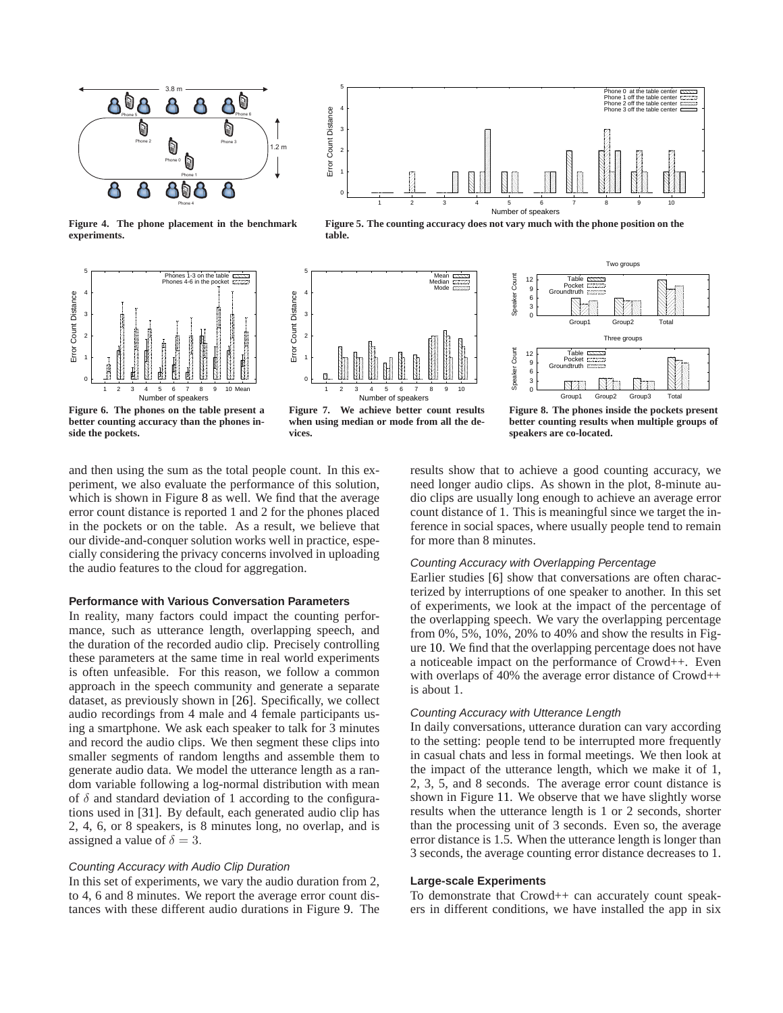

<span id="page-6-0"></span>**Figure 4. The phone placement in the benchmark experiments.**



<span id="page-6-2"></span>**Figure 6. The phones on the table present a better counting accuracy than the phones inside the pockets.**



<span id="page-6-1"></span>**Figure 5. The counting accuracy does not vary much with the phone position on the table.**



<span id="page-6-3"></span>**Figure 7. We achieve better count results when using median or mode from all the devices.**



<span id="page-6-4"></span>**Figure 8. The phones inside the pockets present better counting results when multiple groups of speakers are co-located.**

and then using the sum as the total people count. In this experiment, we also evaluate the performance of this solution, which is shown in Figure [8](#page-6-4) as well. We find that the average error count distance is reported 1 and 2 for the phones placed in the pockets or on the table. As a result, we believe that our divide-and-conquer solution works well in practice, especially considering the privacy concerns involved in uploading the audio features to the cloud for aggregation.

# **Performance with Various Conversation Parameters**

In reality, many factors could impact the counting performance, such as utterance length, overlapping speech, and the duration of the recorded audio clip. Precisely controlling these parameters at the same time in real world experiments is often unfeasible. For this reason, we follow a common approach in the speech community and generate a separate dataset, as previously shown in [\[26\]](#page-9-26). Specifically, we collect audio recordings from 4 male and 4 female participants using a smartphone. We ask each speaker to talk for 3 minutes and record the audio clips. We then segment these clips into smaller segments of random lengths and assemble them to generate audio data. We model the utterance length as a random variable following a log-normal distribution with mean of  $\delta$  and standard deviation of 1 according to the configurations used in [\[31\]](#page-9-12). By default, each generated audio clip has 2, 4, 6, or 8 speakers, is 8 minutes long, no overlap, and is assigned a value of  $\delta = 3$ .

#### Counting Accuracy with Audio Clip Duration

In this set of experiments, we vary the audio duration from 2, to 4, 6 and 8 minutes. We report the average error count distances with these different audio durations in Figure [9.](#page-7-0) The results show that to achieve a good counting accuracy, we need longer audio clips. As shown in the plot, 8-minute audio clips are usually long enough to achieve an average error count distance of 1. This is meaningful since we target the inference in social spaces, where usually people tend to remain for more than 8 minutes.

## Counting Accuracy with Overlapping Percentage

Earlier studies [\[6\]](#page-9-27) show that conversations are often characterized by interruptions of one speaker to another. In this set of experiments, we look at the impact of the percentage of the overlapping speech. We vary the overlapping percentage from 0%, 5%, 10%, 20% to 40% and show the results in Figure [10.](#page-7-1) We find that the overlapping percentage does not have a noticeable impact on the performance of Crowd++. Even with overlaps of 40% the average error distance of Crowd++ is about 1.

# Counting Accuracy with Utterance Length

In daily conversations, utterance duration can vary according to the setting: people tend to be interrupted more frequently in casual chats and less in formal meetings. We then look at the impact of the utterance length, which we make it of 1, 2, 3, 5, and 8 seconds. The average error count distance is shown in Figure [11.](#page-7-2) We observe that we have slightly worse results when the utterance length is 1 or 2 seconds, shorter than the processing unit of 3 seconds. Even so, the average error distance is 1.5. When the utterance length is longer than 3 seconds, the average counting error distance decreases to 1.

# **Large-scale Experiments**

To demonstrate that Crowd++ can accurately count speakers in different conditions, we have installed the app in six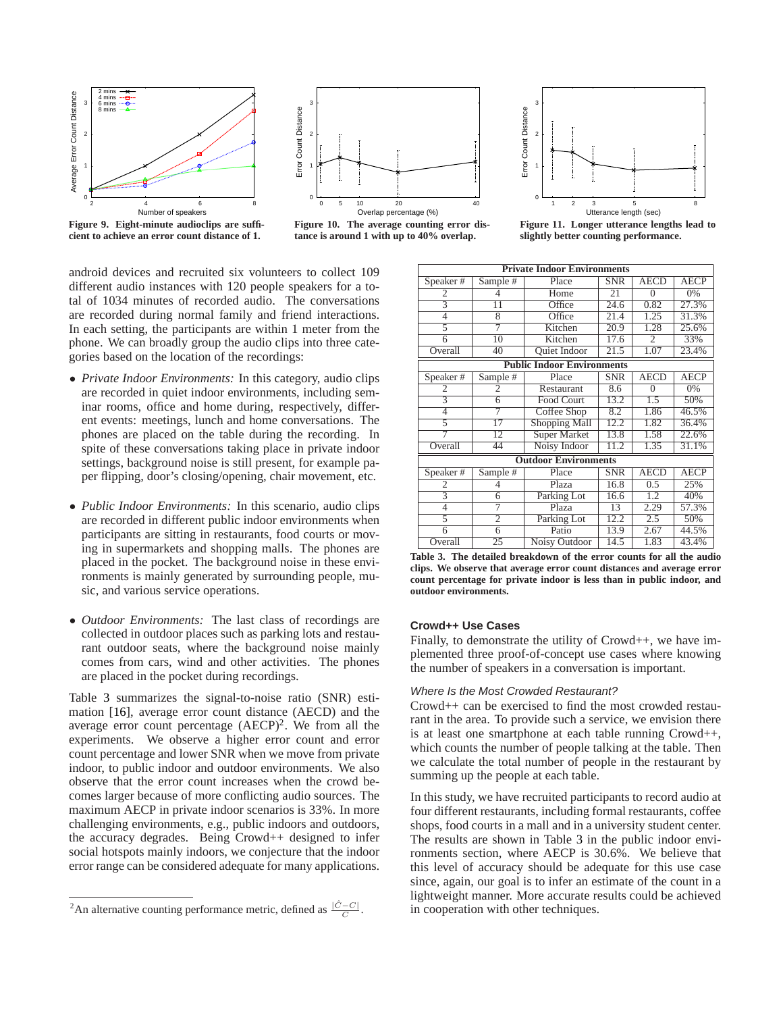



<span id="page-7-0"></span>**Figure 9. Eight-minute audioclips are sufficient to achieve an error count distance of 1.**

<span id="page-7-1"></span>**Figure 10. The average counting error distance is around 1 with up to 40% overlap.**



<span id="page-7-2"></span>

android devices and recruited six volunteers to collect 109 different audio instances with 120 people speakers for a total of 1034 minutes of recorded audio. The conversations are recorded during normal family and friend interactions. In each setting, the participants are within 1 meter from the phone. We can broadly group the audio clips into three categories based on the location of the recordings:

- *Private Indoor Environments:* In this category, audio clips are recorded in quiet indoor environments, including seminar rooms, office and home during, respectively, different events: meetings, lunch and home conversations. The phones are placed on the table during the recording. In spite of these conversations taking place in private indoor settings, background noise is still present, for example paper flipping, door's closing/opening, chair movement, etc.
- *Public Indoor Environments:* In this scenario, audio clips are recorded in different public indoor environments when participants are sitting in restaurants, food courts or moving in supermarkets and shopping malls. The phones are placed in the pocket. The background noise in these environments is mainly generated by surrounding people, music, and various service operations.
- *Outdoor Environments:* The last class of recordings are collected in outdoor places such as parking lots and restaurant outdoor seats, where the background noise mainly comes from cars, wind and other activities. The phones are placed in the pocket during recordings.

Table [3](#page-7-3) summarizes the signal-to-noise ratio (SNR) estimation [\[16\]](#page-9-28), average error count distance (AECD) and the average error count percentage  $(AECP)^2$  $(AECP)^2$ . We from all the experiments. We observe a higher error count and error count percentage and lower SNR when we move from private indoor, to public indoor and outdoor environments. We also observe that the error count increases when the crowd becomes larger because of more conflicting audio sources. The maximum AECP in private indoor scenarios is 33%. In more challenging environments, e.g., public indoors and outdoors, the accuracy degrades. Being Crowd++ designed to infer social hotspots mainly indoors, we conjecture that the indoor error range can be considered adequate for many applications.

| <b>Private Indoor Environments</b> |                 |                             |            |                |             |  |  |  |
|------------------------------------|-----------------|-----------------------------|------------|----------------|-------------|--|--|--|
| Speaker#                           | Sample #        | Place<br><b>SNR</b>         |            | <b>AECD</b>    | AECP        |  |  |  |
| 2                                  | 4               | Home                        | 21         | $\theta$       | 0%          |  |  |  |
| $\overline{3}$                     | $\overline{11}$ | Office                      | 24.6       | 0.82           | 27.3%       |  |  |  |
| $\overline{4}$                     | $\overline{8}$  | Office                      | 21.4       | 1.25           | 31.3%       |  |  |  |
| 5                                  | 7               | Kitchen                     | 20.9       | 1.28           | 25.6%       |  |  |  |
| $\overline{6}$                     | $\overline{10}$ | Kitchen<br>17.6             |            | $\overline{2}$ | 33%         |  |  |  |
| Overall                            | 40              | <b>Quiet Indoor</b><br>21.5 |            | 1.07           | 23.4%       |  |  |  |
| <b>Public Indoor Environments</b>  |                 |                             |            |                |             |  |  |  |
| Speaker#                           | Sample #        | Place                       | <b>SNR</b> | <b>AECD</b>    | <b>AECP</b> |  |  |  |
| 2                                  | $\overline{c}$  | Restaurant                  | 8.6        | $\theta$       | 0%          |  |  |  |
|                                    | 6               | Food Court                  | 13.2       | 1.5            | 50%         |  |  |  |
| 4                                  | 7               | Coffee Shop                 | 8.2        | 1.86           | 46.5%       |  |  |  |
| 5                                  | $\overline{17}$ | <b>Shopping Mall</b>        | 12.2       | 1.82           | 36.4%       |  |  |  |
| 7                                  | 12              | <b>Super Market</b>         | 13.8       | 1.58           | 22.6%       |  |  |  |
| Overall                            | 44              | Noisy Indoor                | 11.2       | 1.35           | 31.1%       |  |  |  |
| <b>Outdoor Environments</b>        |                 |                             |            |                |             |  |  |  |
| Speaker#                           | Sample #        | Place                       | <b>SNR</b> | <b>AECD</b>    | <b>AECP</b> |  |  |  |
| 2                                  | 4               | Plaza                       | 16.8       | 0.5            | 25%         |  |  |  |
| $\overline{3}$                     | 6               | Parking Lot                 | 16.6       | 1.2            | 40%         |  |  |  |
| $\overline{4}$                     | 7               | Plaza                       | 13         | 2.29           | 57.3%       |  |  |  |
| 5                                  | $\overline{2}$  | Parking Lot                 | 12.2       | 2.5            | 50%         |  |  |  |
| 6                                  | $\overline{6}$  | Patio                       | 13.9       | 2.67           | 44.5%       |  |  |  |
| Overall<br>.                       | 25              | 14.5<br>Noisy Outdoor       |            | 1.83           | 43.4%<br>.  |  |  |  |

<span id="page-7-3"></span>**Table 3. The detailed breakdown of the error counts for all the audio clips. We observe that average error count distances and average error count percentage for private indoor is less than in public indoor, and outdoor environments.**

# **Crowd++ Use Cases**

Finally, to demonstrate the utility of Crowd++, we have implemented three proof-of-concept use cases where knowing the number of speakers in a conversation is important.

#### Where Is the Most Crowded Restaurant?

Crowd++ can be exercised to find the most crowded restaurant in the area. To provide such a service, we envision there is at least one smartphone at each table running Crowd++, which counts the number of people talking at the table. Then we calculate the total number of people in the restaurant by summing up the people at each table.

In this study, we have recruited participants to record audio at four different restaurants, including formal restaurants, coffee shops, food courts in a mall and in a university student center. The results are shown in Table [3](#page-7-3) in the public indoor environments section, where AECP is 30.6%. We believe that this level of accuracy should be adequate for this use case since, again, our goal is to infer an estimate of the count in a lightweight manner. More accurate results could be achieved in cooperation with other techniques.

<span id="page-7-4"></span><sup>&</sup>lt;sup>2</sup>An alternative counting performance metric, defined as  $\frac{|\hat{C} - C|}{C}$ .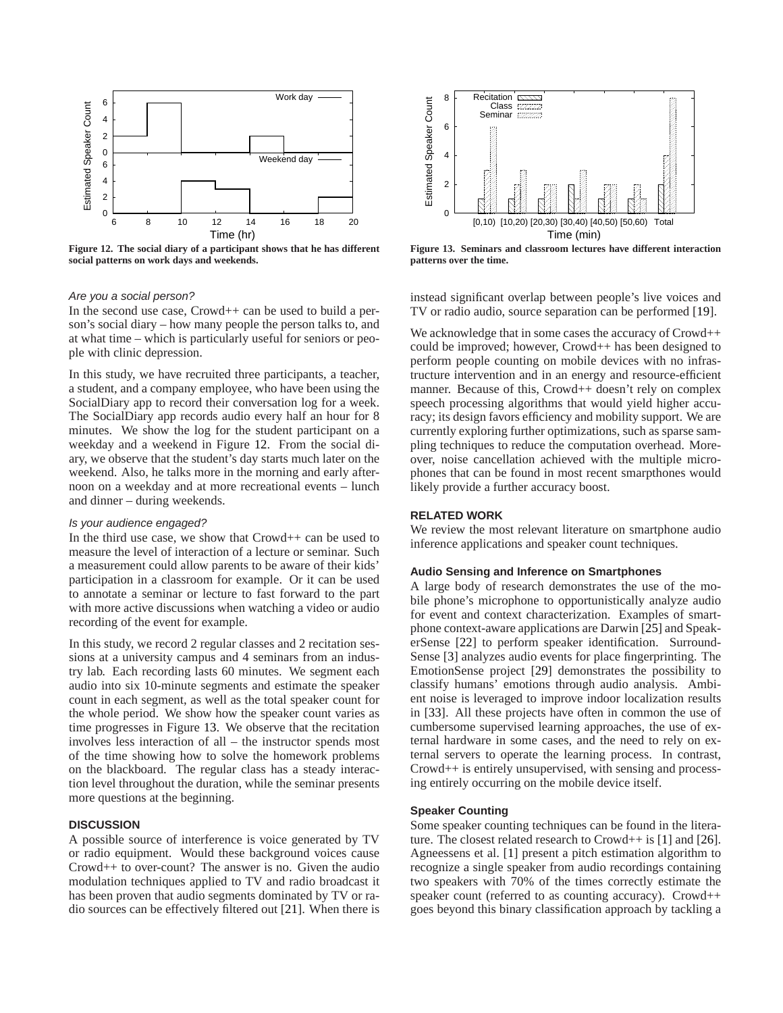

<span id="page-8-0"></span>**Figure 12. The social diary of a participant shows that he has different social patterns on work days and weekends.**

## Are you a social person?

In the second use case, Crowd++ can be used to build a person's social diary – how many people the person talks to, and at what time – which is particularly useful for seniors or people with clinic depression.

In this study, we have recruited three participants, a teacher, a student, and a company employee, who have been using the SocialDiary app to record their conversation log for a week. The SocialDiary app records audio every half an hour for 8 minutes. We show the log for the student participant on a weekday and a weekend in Figure [12.](#page-8-0) From the social diary, we observe that the student's day starts much later on the weekend. Also, he talks more in the morning and early afternoon on a weekday and at more recreational events – lunch and dinner – during weekends.

## Is your audience engaged?

In the third use case, we show that  $Crowd++$  can be used to measure the level of interaction of a lecture or seminar. Such a measurement could allow parents to be aware of their kids' participation in a classroom for example. Or it can be used to annotate a seminar or lecture to fast forward to the part with more active discussions when watching a video or audio recording of the event for example.

In this study, we record 2 regular classes and 2 recitation sessions at a university campus and 4 seminars from an industry lab. Each recording lasts 60 minutes. We segment each audio into six 10-minute segments and estimate the speaker count in each segment, as well as the total speaker count for the whole period. We show how the speaker count varies as time progresses in Figure [13.](#page-8-1) We observe that the recitation involves less interaction of all – the instructor spends most of the time showing how to solve the homework problems on the blackboard. The regular class has a steady interaction level throughout the duration, while the seminar presents more questions at the beginning.

## **DISCUSSION**

A possible source of interference is voice generated by TV or radio equipment. Would these background voices cause Crowd++ to over-count? The answer is no. Given the audio modulation techniques applied to TV and radio broadcast it has been proven that audio segments dominated by TV or radio sources can be effectively filtered out [\[21\]](#page-9-29). When there is



<span id="page-8-1"></span>**Figure 13. Seminars and classroom lectures have different interaction patterns over the time.**

instead significant overlap between people's live voices and TV or radio audio, source separation can be performed [\[19\]](#page-9-30).

We acknowledge that in some cases the accuracy of Crowd++ could be improved; however, Crowd++ has been designed to perform people counting on mobile devices with no infrastructure intervention and in an energy and resource-efficient manner. Because of this, Crowd++ doesn't rely on complex speech processing algorithms that would yield higher accuracy; its design favors efficiency and mobility support. We are currently exploring further optimizations, such as sparse sampling techniques to reduce the computation overhead. Moreover, noise cancellation achieved with the multiple microphones that can be found in most recent smarpthones would likely provide a further accuracy boost.

## **RELATED WORK**

We review the most relevant literature on smartphone audio inference applications and speaker count techniques.

## **Audio Sensing and Inference on Smartphones**

A large body of research demonstrates the use of the mobile phone's microphone to opportunistically analyze audio for event and context characterization. Examples of smartphone context-aware applications are Darwin [\[25\]](#page-9-25) and SpeakerSense [\[22\]](#page-9-2) to perform speaker identification. Surround-Sense [\[3\]](#page-9-6) analyzes audio events for place fingerprinting. The EmotionSense project [\[29\]](#page-9-31) demonstrates the possibility to classify humans' emotions through audio analysis. Ambient noise is leveraged to improve indoor localization results in [\[33\]](#page-9-32). All these projects have often in common the use of cumbersome supervised learning approaches, the use of external hardware in some cases, and the need to rely on external servers to operate the learning process. In contrast, Crowd++ is entirely unsupervised, with sensing and processing entirely occurring on the mobile device itself.

## **Speaker Counting**

Some speaker counting techniques can be found in the literature. The closest related research to Crowd++ is [\[1\]](#page-9-33) and [\[26\]](#page-9-26). Agneessens et al. [\[1\]](#page-9-33) present a pitch estimation algorithm to recognize a single speaker from audio recordings containing two speakers with 70% of the times correctly estimate the speaker count (referred to as counting accuracy). Crowd++ goes beyond this binary classification approach by tackling a